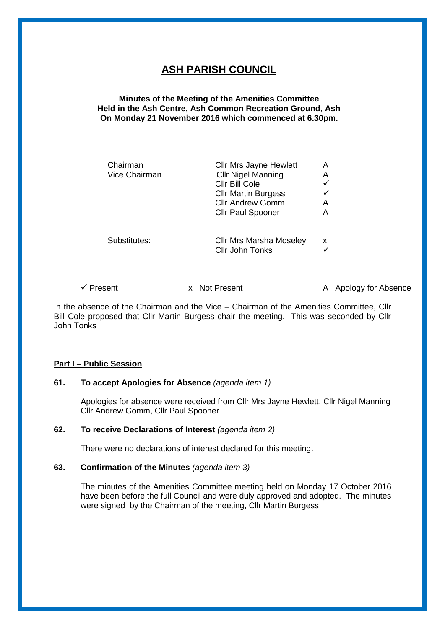# **ASH PARISH COUNCIL**

# **Minutes of the Meeting of the Amenities Committee Held in the Ash Centre, Ash Common Recreation Ground, Ash On Monday 21 November 2016 which commenced at 6.30pm.**

| Chairman<br>Vice Chairman | <b>Cllr Mrs Jayne Hewlett</b><br><b>Cllr Nigel Manning</b><br>Cllr Bill Cole<br><b>Cllr Martin Burgess</b><br><b>Cllr Andrew Gomm</b><br><b>Cllr Paul Spooner</b> | A<br>Α<br>A<br>А |
|---------------------------|-------------------------------------------------------------------------------------------------------------------------------------------------------------------|------------------|
| Substitutes:              | <b>Cllr Mrs Marsha Moseley</b><br><b>Cllr John Tonks</b>                                                                                                          | x                |

✓ Present x Not Present A Apology for Absence

In the absence of the Chairman and the Vice – Chairman of the Amenities Committee, Cllr Bill Cole proposed that Cllr Martin Burgess chair the meeting. This was seconded by Cllr John Tonks

# **Part I – Public Session**

# **61. To accept Apologies for Absence** *(agenda item 1)*

Apologies for absence were received from Cllr Mrs Jayne Hewlett, Cllr Nigel Manning Cllr Andrew Gomm, Cllr Paul Spooner

#### **62. To receive Declarations of Interest** *(agenda item 2)*

There were no declarations of interest declared for this meeting.

#### **63. Confirmation of the Minutes** *(agenda item 3)*

The minutes of the Amenities Committee meeting held on Monday 17 October 2016 have been before the full Council and were duly approved and adopted. The minutes were signed by the Chairman of the meeting, Cllr Martin Burgess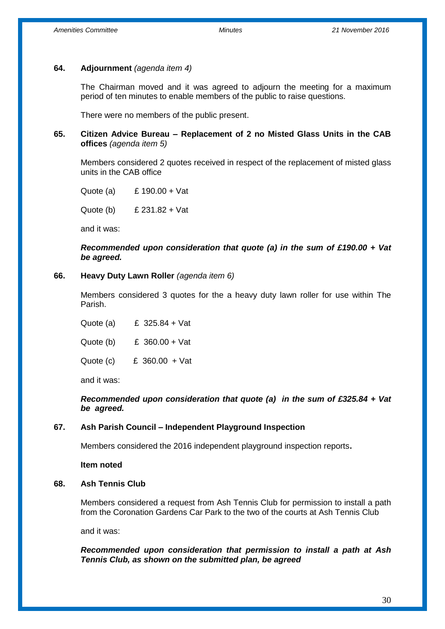#### **64. Adjournment** *(agenda item 4)*

The Chairman moved and it was agreed to adjourn the meeting for a maximum period of ten minutes to enable members of the public to raise questions.

There were no members of the public present.

#### **65. Citizen Advice Bureau – Replacement of 2 no Misted Glass Units in the CAB offices** *(agenda item 5)*

Members considered 2 quotes received in respect of the replacement of misted glass units in the CAB office

Quote (a) £ 190.00 + Vat

Quote (b) £ 231.82 + Vat

and it was:

*Recommended upon consideration that quote (a) in the sum of £190.00 + Vat be agreed.*

#### **66. Heavy Duty Lawn Roller** *(agenda item 6)*

Members considered 3 quotes for the a heavy duty lawn roller for use within The Parish.

Quote (a) £ 325.84 + Vat Quote (b) £ 360.00 + Vat Quote (c)£ 360.00 + Vat

and it was:

*Recommended upon consideration that quote (a) in the sum of £325.84 + Vat be agreed.*

#### **67. Ash Parish Council – Independent Playground Inspection**

Members considered the 2016 independent playground inspection reports**.**

**Item noted**

#### **68. Ash Tennis Club**

Members considered a request from Ash Tennis Club for permission to install a path from the Coronation Gardens Car Park to the two of the courts at Ash Tennis Club

and it was:

*Recommended upon consideration that permission to install a path at Ash Tennis Club, as shown on the submitted plan, be agreed*